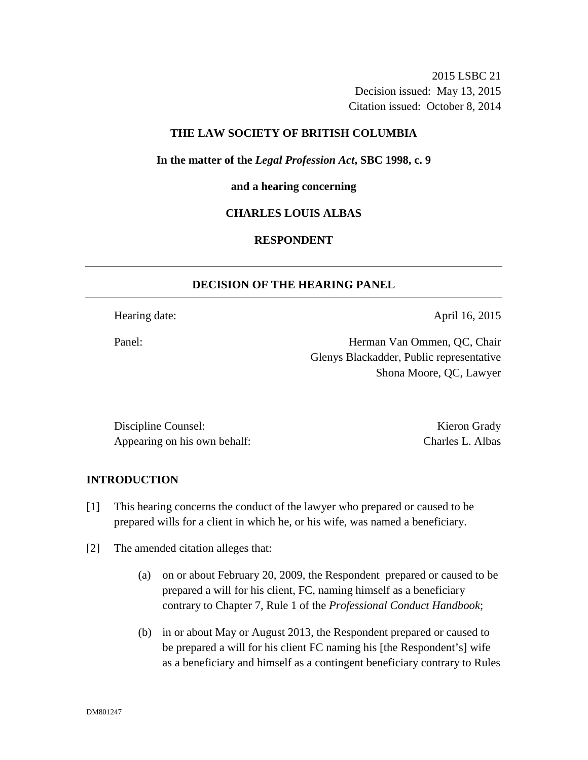2015 LSBC 21 Decision issued: May 13, 2015 Citation issued: October 8, 2014

### **THE LAW SOCIETY OF BRITISH COLUMBIA**

**In the matter of the** *Legal Profession Act***, SBC 1998, c. 9** 

#### **and a hearing concerning**

## **CHARLES LOUIS ALBAS**

# **RESPONDENT**

# **DECISION OF THE HEARING PANEL**

Hearing date: April 16, 2015

Panel: Herman Van Ommen, QC, Chair Glenys Blackadder, Public representative Shona Moore, QC, Lawyer

Discipline Counsel: Kieron Grady Appearing on his own behalf: Charles L. Albas

## **INTRODUCTION**

- [1] This hearing concerns the conduct of the lawyer who prepared or caused to be prepared wills for a client in which he, or his wife, was named a beneficiary.
- [2] The amended citation alleges that:
	- (a) on or about February 20, 2009, the Respondent prepared or caused to be prepared a will for his client, FC, naming himself as a beneficiary contrary to Chapter 7, Rule 1 of the *Professional Conduct Handbook*;
	- (b) in or about May or August 2013, the Respondent prepared or caused to be prepared a will for his client FC naming his [the Respondent's] wife as a beneficiary and himself as a contingent beneficiary contrary to Rules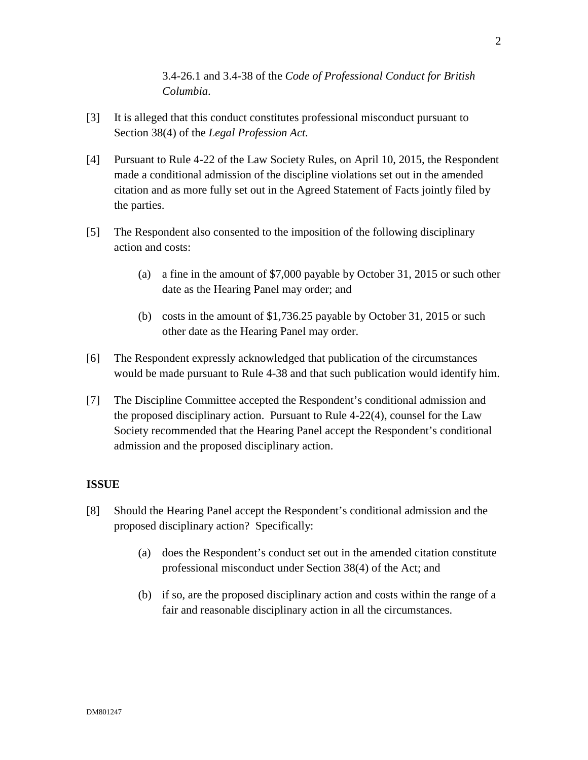3.4-26.1 and 3.4-38 of the *Code of Professional Conduct for British Columbia*.

- [3] It is alleged that this conduct constitutes professional misconduct pursuant to Section 38(4) of the *Legal Profession Act.*
- [4] Pursuant to Rule 4-22 of the Law Society Rules, on April 10, 2015, the Respondent made a conditional admission of the discipline violations set out in the amended citation and as more fully set out in the Agreed Statement of Facts jointly filed by the parties.
- [5] The Respondent also consented to the imposition of the following disciplinary action and costs:
	- (a) a fine in the amount of \$7,000 payable by October 31, 2015 or such other date as the Hearing Panel may order; and
	- (b) costs in the amount of \$1,736.25 payable by October 31, 2015 or such other date as the Hearing Panel may order.
- [6] The Respondent expressly acknowledged that publication of the circumstances would be made pursuant to Rule 4-38 and that such publication would identify him.
- [7] The Discipline Committee accepted the Respondent's conditional admission and the proposed disciplinary action. Pursuant to Rule 4-22(4), counsel for the Law Society recommended that the Hearing Panel accept the Respondent's conditional admission and the proposed disciplinary action.

# **ISSUE**

- [8] Should the Hearing Panel accept the Respondent's conditional admission and the proposed disciplinary action? Specifically:
	- (a) does the Respondent's conduct set out in the amended citation constitute professional misconduct under Section 38(4) of the Act; and
	- (b) if so, are the proposed disciplinary action and costs within the range of a fair and reasonable disciplinary action in all the circumstances.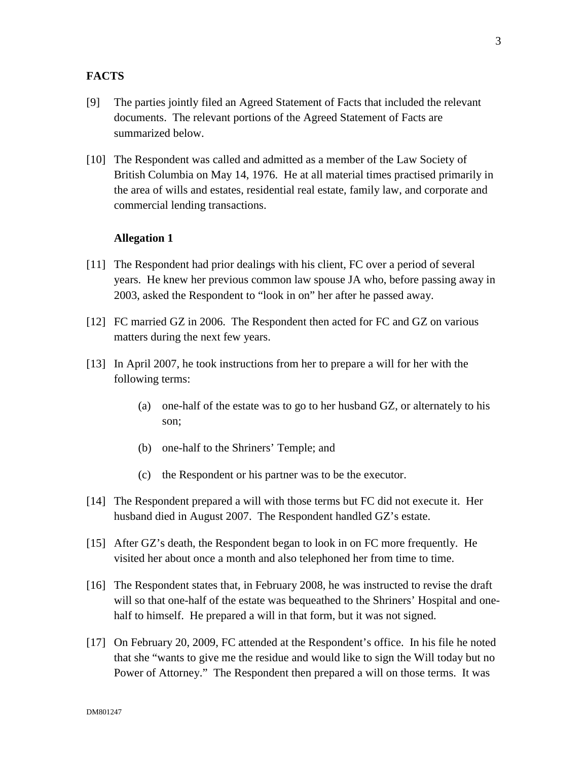## **FACTS**

- [9] The parties jointly filed an Agreed Statement of Facts that included the relevant documents. The relevant portions of the Agreed Statement of Facts are summarized below.
- [10] The Respondent was called and admitted as a member of the Law Society of British Columbia on May 14, 1976. He at all material times practised primarily in the area of wills and estates, residential real estate, family law, and corporate and commercial lending transactions.

#### **Allegation 1**

- [11] The Respondent had prior dealings with his client, FC over a period of several years. He knew her previous common law spouse JA who, before passing away in 2003, asked the Respondent to "look in on" her after he passed away.
- [12] FC married GZ in 2006. The Respondent then acted for FC and GZ on various matters during the next few years.
- [13] In April 2007, he took instructions from her to prepare a will for her with the following terms:
	- (a) one-half of the estate was to go to her husband GZ, or alternately to his son;
	- (b) one-half to the Shriners' Temple; and
	- (c) the Respondent or his partner was to be the executor.
- [14] The Respondent prepared a will with those terms but FC did not execute it. Her husband died in August 2007. The Respondent handled GZ's estate.
- [15] After GZ's death, the Respondent began to look in on FC more frequently. He visited her about once a month and also telephoned her from time to time.
- [16] The Respondent states that, in February 2008, he was instructed to revise the draft will so that one-half of the estate was bequeathed to the Shriners' Hospital and onehalf to himself. He prepared a will in that form, but it was not signed.
- [17] On February 20, 2009, FC attended at the Respondent's office. In his file he noted that she "wants to give me the residue and would like to sign the Will today but no Power of Attorney." The Respondent then prepared a will on those terms. It was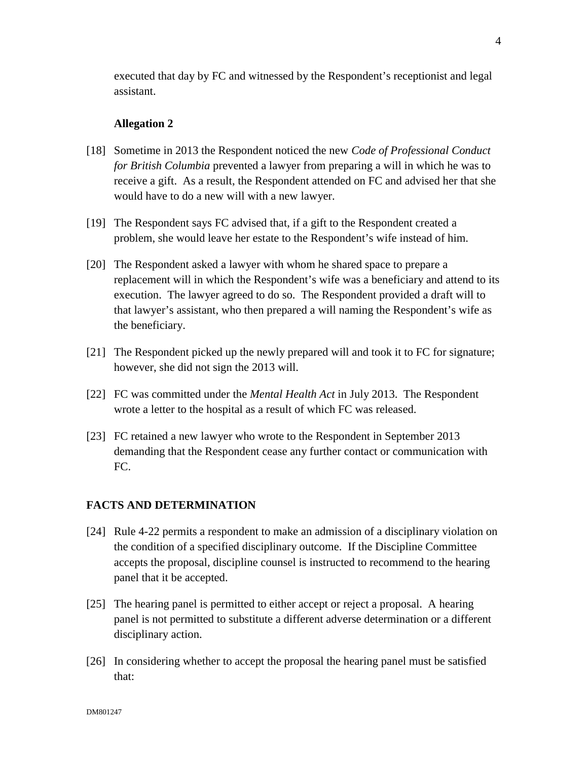executed that day by FC and witnessed by the Respondent's receptionist and legal assistant.

#### **Allegation 2**

- [18] Sometime in 2013 the Respondent noticed the new *Code of Professional Conduct for British Columbia* prevented a lawyer from preparing a will in which he was to receive a gift. As a result, the Respondent attended on FC and advised her that she would have to do a new will with a new lawyer.
- [19] The Respondent says FC advised that, if a gift to the Respondent created a problem, she would leave her estate to the Respondent's wife instead of him.
- [20] The Respondent asked a lawyer with whom he shared space to prepare a replacement will in which the Respondent's wife was a beneficiary and attend to its execution. The lawyer agreed to do so. The Respondent provided a draft will to that lawyer's assistant, who then prepared a will naming the Respondent's wife as the beneficiary.
- [21] The Respondent picked up the newly prepared will and took it to FC for signature; however, she did not sign the 2013 will.
- [22] FC was committed under the *Mental Health Act* in July 2013. The Respondent wrote a letter to the hospital as a result of which FC was released.
- [23] FC retained a new lawyer who wrote to the Respondent in September 2013 demanding that the Respondent cease any further contact or communication with FC.

#### **FACTS AND DETERMINATION**

- [24] Rule 4-22 permits a respondent to make an admission of a disciplinary violation on the condition of a specified disciplinary outcome. If the Discipline Committee accepts the proposal, discipline counsel is instructed to recommend to the hearing panel that it be accepted.
- [25] The hearing panel is permitted to either accept or reject a proposal. A hearing panel is not permitted to substitute a different adverse determination or a different disciplinary action.
- [26] In considering whether to accept the proposal the hearing panel must be satisfied that: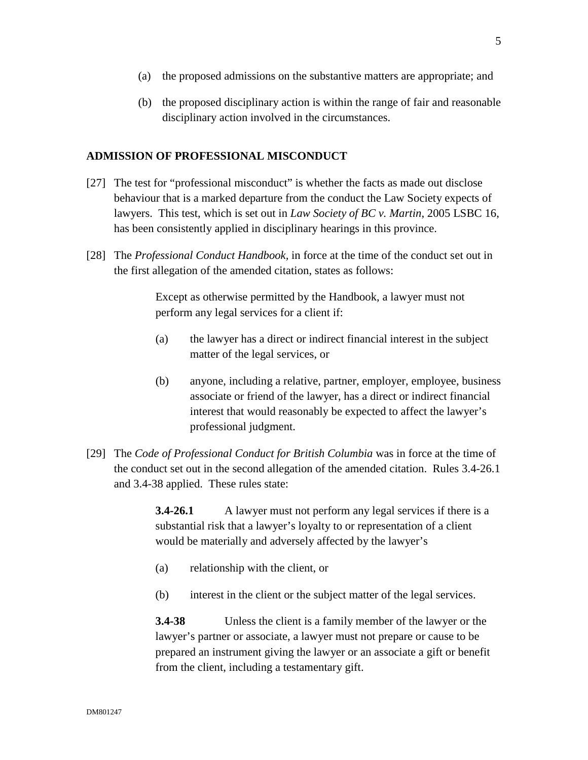- (a) the proposed admissions on the substantive matters are appropriate; and
- (b) the proposed disciplinary action is within the range of fair and reasonable disciplinary action involved in the circumstances.

## **ADMISSION OF PROFESSIONAL MISCONDUCT**

- [27] The test for "professional misconduct" is whether the facts as made out disclose behaviour that is a marked departure from the conduct the Law Society expects of lawyers. This test, which is set out in *Law Society of BC v. Martin*, 2005 LSBC 16, has been consistently applied in disciplinary hearings in this province.
- [28] The *Professional Conduct Handbook,* in force at the time of the conduct set out in the first allegation of the amended citation, states as follows:

Except as otherwise permitted by the Handbook, a lawyer must not perform any legal services for a client if:

- (a) the lawyer has a direct or indirect financial interest in the subject matter of the legal services, or
- (b) anyone, including a relative, partner, employer, employee, business associate or friend of the lawyer, has a direct or indirect financial interest that would reasonably be expected to affect the lawyer's professional judgment.
- [29] The *Code of Professional Conduct for British Columbia* was in force at the time of the conduct set out in the second allegation of the amended citation. Rules 3.4-26.1 and 3.4-38 applied. These rules state:

**3.4-26.1** A lawyer must not perform any legal services if there is a substantial risk that a lawyer's loyalty to or representation of a client would be materially and adversely affected by the lawyer's

- (a) relationship with the client, or
- (b) interest in the client or the subject matter of the legal services.

**3.4-38** Unless the client is a family member of the lawyer or the lawyer's partner or associate, a lawyer must not prepare or cause to be prepared an instrument giving the lawyer or an associate a gift or benefit from the client, including a testamentary gift.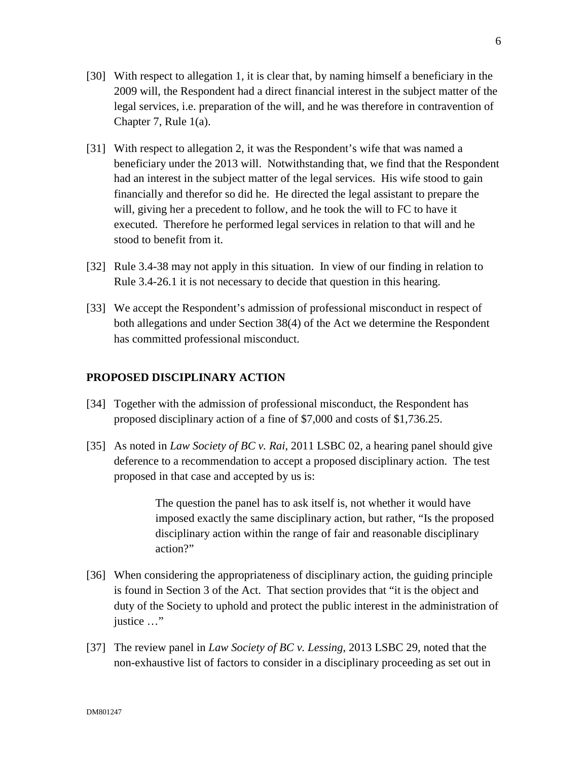- [30] With respect to allegation 1, it is clear that, by naming himself a beneficiary in the 2009 will, the Respondent had a direct financial interest in the subject matter of the legal services, i.e. preparation of the will, and he was therefore in contravention of Chapter 7, Rule 1(a).
- [31] With respect to allegation 2, it was the Respondent's wife that was named a beneficiary under the 2013 will. Notwithstanding that, we find that the Respondent had an interest in the subject matter of the legal services. His wife stood to gain financially and therefor so did he. He directed the legal assistant to prepare the will, giving her a precedent to follow, and he took the will to FC to have it executed. Therefore he performed legal services in relation to that will and he stood to benefit from it.
- [32] Rule 3.4-38 may not apply in this situation. In view of our finding in relation to Rule 3.4-26.1 it is not necessary to decide that question in this hearing.
- [33] We accept the Respondent's admission of professional misconduct in respect of both allegations and under Section 38(4) of the Act we determine the Respondent has committed professional misconduct.

## **PROPOSED DISCIPLINARY ACTION**

- [34] Together with the admission of professional misconduct, the Respondent has proposed disciplinary action of a fine of \$7,000 and costs of \$1,736.25.
- [35] As noted in *Law Society of BC v. Rai*, 2011 LSBC 02, a hearing panel should give deference to a recommendation to accept a proposed disciplinary action. The test proposed in that case and accepted by us is:

The question the panel has to ask itself is, not whether it would have imposed exactly the same disciplinary action, but rather, "Is the proposed disciplinary action within the range of fair and reasonable disciplinary action?"

- [36] When considering the appropriateness of disciplinary action, the guiding principle is found in Section 3 of the Act. That section provides that "it is the object and duty of the Society to uphold and protect the public interest in the administration of justice …"
- [37] The review panel in *Law Society of BC v. Lessing*, 2013 LSBC 29, noted that the non-exhaustive list of factors to consider in a disciplinary proceeding as set out in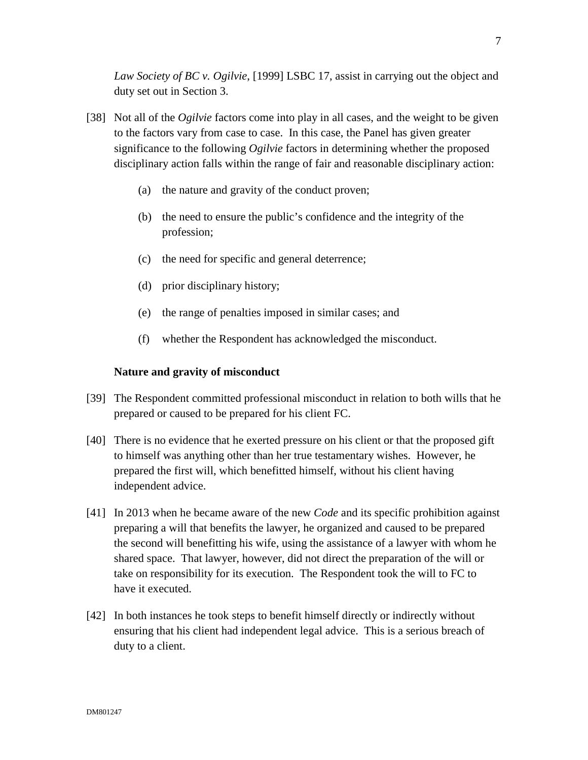*Law Society of BC v. Ogilvie*, [1999] LSBC 17, assist in carrying out the object and duty set out in Section 3.

- [38] Not all of the *Ogilvie* factors come into play in all cases, and the weight to be given to the factors vary from case to case. In this case, the Panel has given greater significance to the following *Ogilvie* factors in determining whether the proposed disciplinary action falls within the range of fair and reasonable disciplinary action:
	- (a) the nature and gravity of the conduct proven;
	- (b) the need to ensure the public's confidence and the integrity of the profession;
	- (c) the need for specific and general deterrence;
	- (d) prior disciplinary history;
	- (e) the range of penalties imposed in similar cases; and
	- (f) whether the Respondent has acknowledged the misconduct.

# **Nature and gravity of misconduct**

- [39] The Respondent committed professional misconduct in relation to both wills that he prepared or caused to be prepared for his client FC.
- [40] There is no evidence that he exerted pressure on his client or that the proposed gift to himself was anything other than her true testamentary wishes. However, he prepared the first will, which benefitted himself, without his client having independent advice.
- [41] In 2013 when he became aware of the new *Code* and its specific prohibition against preparing a will that benefits the lawyer, he organized and caused to be prepared the second will benefitting his wife, using the assistance of a lawyer with whom he shared space. That lawyer, however, did not direct the preparation of the will or take on responsibility for its execution. The Respondent took the will to FC to have it executed.
- [42] In both instances he took steps to benefit himself directly or indirectly without ensuring that his client had independent legal advice. This is a serious breach of duty to a client.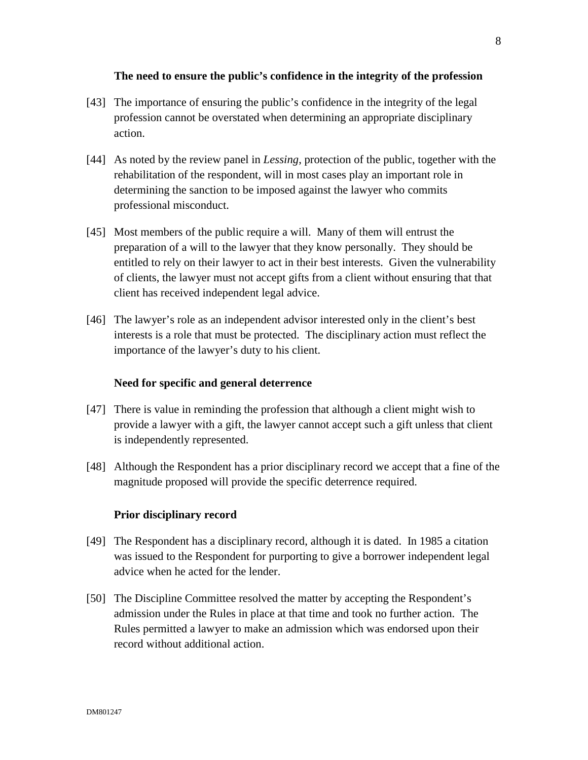## **The need to ensure the public's confidence in the integrity of the profession**

- [43] The importance of ensuring the public's confidence in the integrity of the legal profession cannot be overstated when determining an appropriate disciplinary action.
- [44] As noted by the review panel in *Lessing*, protection of the public, together with the rehabilitation of the respondent, will in most cases play an important role in determining the sanction to be imposed against the lawyer who commits professional misconduct.
- [45] Most members of the public require a will. Many of them will entrust the preparation of a will to the lawyer that they know personally. They should be entitled to rely on their lawyer to act in their best interests. Given the vulnerability of clients, the lawyer must not accept gifts from a client without ensuring that that client has received independent legal advice.
- [46] The lawyer's role as an independent advisor interested only in the client's best interests is a role that must be protected. The disciplinary action must reflect the importance of the lawyer's duty to his client.

### **Need for specific and general deterrence**

- [47] There is value in reminding the profession that although a client might wish to provide a lawyer with a gift, the lawyer cannot accept such a gift unless that client is independently represented.
- [48] Although the Respondent has a prior disciplinary record we accept that a fine of the magnitude proposed will provide the specific deterrence required.

#### **Prior disciplinary record**

- [49] The Respondent has a disciplinary record, although it is dated. In 1985 a citation was issued to the Respondent for purporting to give a borrower independent legal advice when he acted for the lender.
- [50] The Discipline Committee resolved the matter by accepting the Respondent's admission under the Rules in place at that time and took no further action. The Rules permitted a lawyer to make an admission which was endorsed upon their record without additional action.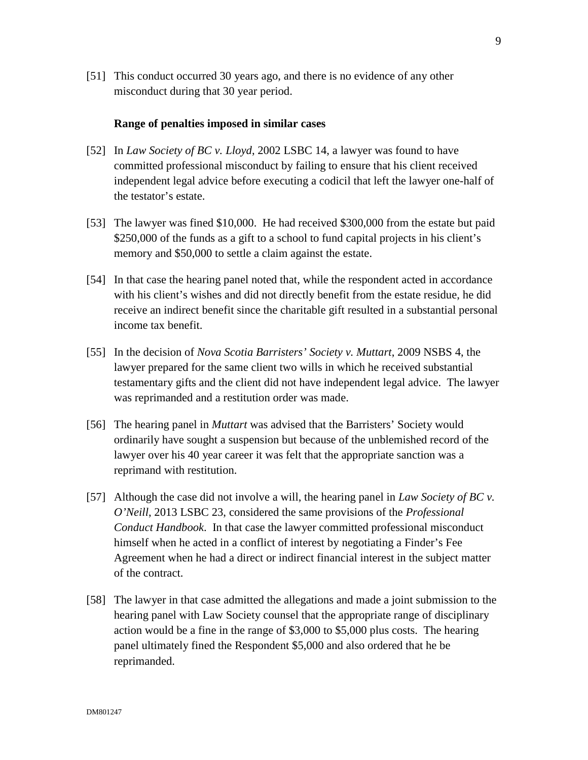[51] This conduct occurred 30 years ago, and there is no evidence of any other misconduct during that 30 year period.

#### **Range of penalties imposed in similar cases**

- [52] In *Law Society of BC v. Lloyd*, 2002 LSBC 14, a lawyer was found to have committed professional misconduct by failing to ensure that his client received independent legal advice before executing a codicil that left the lawyer one-half of the testator's estate.
- [53] The lawyer was fined \$10,000. He had received \$300,000 from the estate but paid \$250,000 of the funds as a gift to a school to fund capital projects in his client's memory and \$50,000 to settle a claim against the estate.
- [54] In that case the hearing panel noted that, while the respondent acted in accordance with his client's wishes and did not directly benefit from the estate residue, he did receive an indirect benefit since the charitable gift resulted in a substantial personal income tax benefit.
- [55] In the decision of *Nova Scotia Barristers' Society v. Muttart*, 2009 NSBS 4, the lawyer prepared for the same client two wills in which he received substantial testamentary gifts and the client did not have independent legal advice. The lawyer was reprimanded and a restitution order was made.
- [56] The hearing panel in *Muttart* was advised that the Barristers' Society would ordinarily have sought a suspension but because of the unblemished record of the lawyer over his 40 year career it was felt that the appropriate sanction was a reprimand with restitution.
- [57] Although the case did not involve a will, the hearing panel in *Law Society of BC v. O'Neill*, 2013 LSBC 23, considered the same provisions of the *Professional Conduct Handbook*. In that case the lawyer committed professional misconduct himself when he acted in a conflict of interest by negotiating a Finder's Fee Agreement when he had a direct or indirect financial interest in the subject matter of the contract.
- [58] The lawyer in that case admitted the allegations and made a joint submission to the hearing panel with Law Society counsel that the appropriate range of disciplinary action would be a fine in the range of \$3,000 to \$5,000 plus costs. The hearing panel ultimately fined the Respondent \$5,000 and also ordered that he be reprimanded.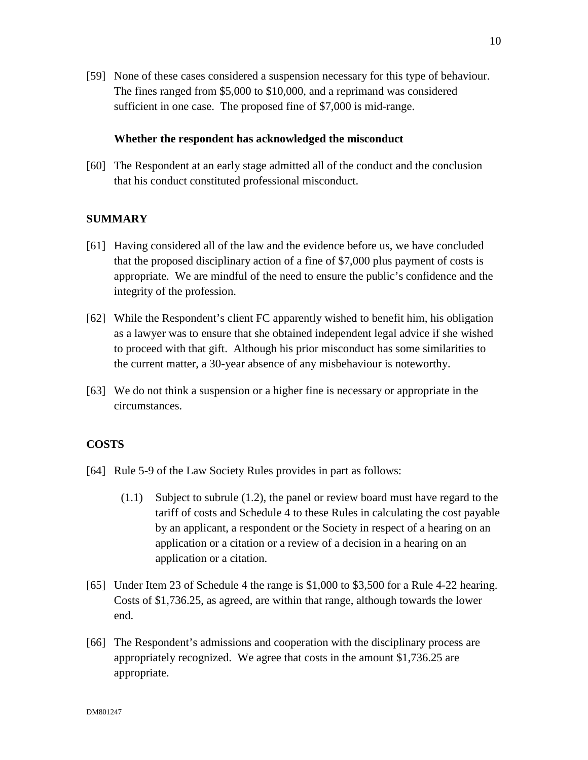[59] None of these cases considered a suspension necessary for this type of behaviour. The fines ranged from \$5,000 to \$10,000, and a reprimand was considered sufficient in one case. The proposed fine of \$7,000 is mid-range.

#### **Whether the respondent has acknowledged the misconduct**

[60] The Respondent at an early stage admitted all of the conduct and the conclusion that his conduct constituted professional misconduct.

#### **SUMMARY**

- [61] Having considered all of the law and the evidence before us, we have concluded that the proposed disciplinary action of a fine of \$7,000 plus payment of costs is appropriate. We are mindful of the need to ensure the public's confidence and the integrity of the profession.
- [62] While the Respondent's client FC apparently wished to benefit him, his obligation as a lawyer was to ensure that she obtained independent legal advice if she wished to proceed with that gift. Although his prior misconduct has some similarities to the current matter, a 30-year absence of any misbehaviour is noteworthy.
- [63] We do not think a suspension or a higher fine is necessary or appropriate in the circumstances.

# **COSTS**

- [64] Rule 5-9 of the Law Society Rules provides in part as follows:
	- (1.1) Subject to subrule (1.2), the panel or review board must have regard to the tariff of costs and Schedule 4 to these Rules in calculating the cost payable by an applicant, a respondent or the Society in respect of a hearing on an application or a citation or a review of a decision in a hearing on an application or a citation.
- [65] Under Item 23 of Schedule 4 the range is \$1,000 to \$3,500 for a Rule 4-22 hearing. Costs of \$1,736.25, as agreed, are within that range, although towards the lower end.
- [66] The Respondent's admissions and cooperation with the disciplinary process are appropriately recognized. We agree that costs in the amount \$1,736.25 are appropriate.